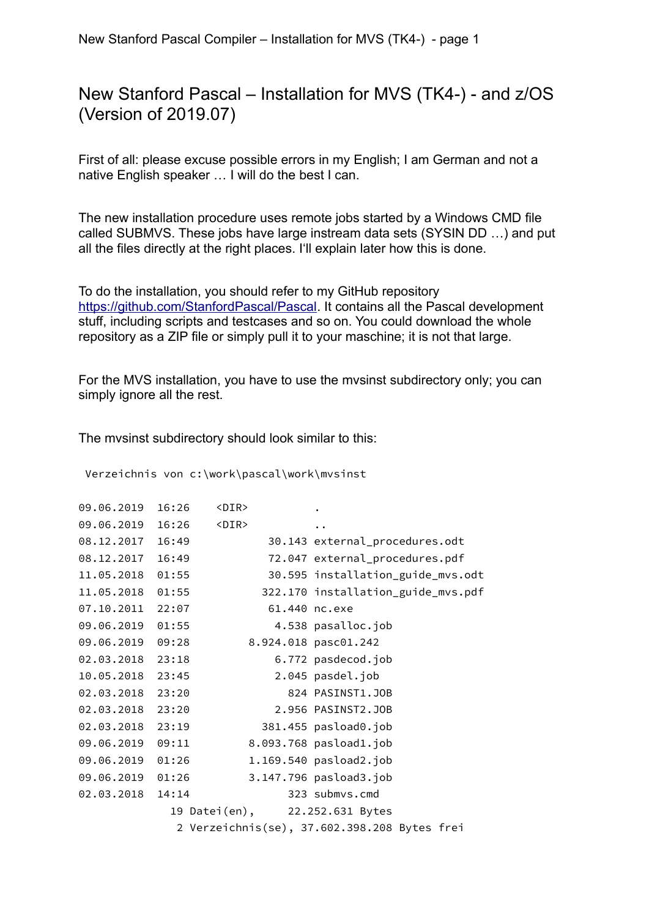### New Stanford Pascal – Installation for MVS (TK4-) - and z/OS (Version of 2019.07)

First of all: please excuse possible errors in my English; I am German and not a native English speaker … I will do the best I can.

The new installation procedure uses remote jobs started by a Windows CMD file called SUBMVS. These jobs have large instream data sets (SYSIN DD …) and put all the files directly at the right places. I'll explain later how this is done.

To do the installation, you should refer to my GitHub repository [https://github.com/StanfordPascal/Pascal.](https://github.com/StanfordPascal/Pascal) It contains all the Pascal development stuff, including scripts and testcases and so on. You could download the whole repository as a ZIP file or simply pull it to your maschine; it is not that large.

For the MVS installation, you have to use the mvsinst subdirectory only; you can simply ignore all the rest.

The mvsinst subdirectory should look similar to this:

Verzeichnis von c:\work\pascal\work\mvsinst

| 09.06.2019       | 16:26 | $<$ DIR $>$                    |                                              |
|------------------|-------|--------------------------------|----------------------------------------------|
| 09.06.2019       | 16:26 | $<$ DIR $>$                    |                                              |
| 08.12.2017 16:49 |       |                                | 30.143 external_procedures.odt               |
| 08.12.2017       | 16:49 |                                | 72.047 external_procedures.pdf               |
| 11.05.2018       | 01:55 |                                | 30.595 installation_guide_mvs.odt            |
| 11.05.2018       | 01:55 |                                | 322.170 installation_guide_mvs.pdf           |
| 07.10.2011       | 22:07 | 61.440 nc.exe                  |                                              |
| 09.06.2019       | 01:55 |                                | 4.538 pasalloc.job                           |
| 09.06.2019       | 09:28 |                                | 8.924.018 pasc01.242                         |
| 02.03.2018       | 23:18 |                                | 6.772 pasdecod.job                           |
| 10.05.2018       | 23:45 |                                | 2.045 pasdel.job                             |
| 02.03.2018       | 23:20 |                                | 824 PASINST1.JOB                             |
| 02.03.2018       | 23:20 |                                | 2.956 PASINST2.JOB                           |
| 02.03.2018       | 23:19 |                                | 381.455 pasload0.job                         |
| 09.06.2019       | 09:11 |                                | 8.093.768 pasload1.job                       |
| 09.06.2019       | 01:26 |                                | 1.169.540 pasload2.job                       |
| 09.06.2019       | 01:26 |                                | 3.147.796 pasload3.job                       |
| 02.03.2018       | 14:14 |                                | 323 submvs.cmd                               |
|                  |       | 19 Datei(en), 22.252.631 Bytes |                                              |
|                  |       |                                | 2 Verzeichnis(se), 37.602.398.208 Bytes frei |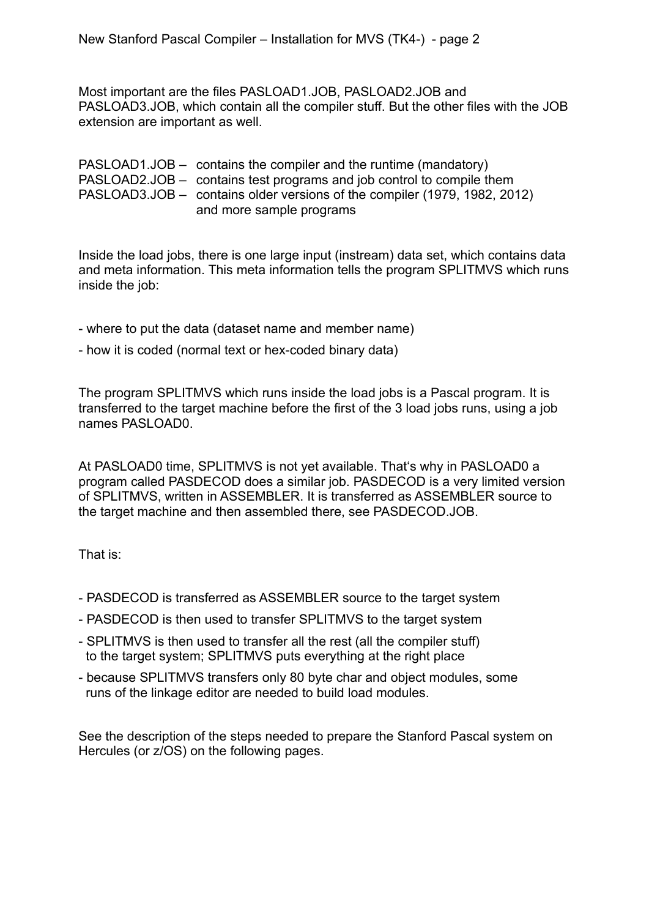Most important are the files PASLOAD1.JOB, PASLOAD2.JOB and PASLOAD3.JOB, which contain all the compiler stuff. But the other files with the JOB extension are important as well.

| $PASLOAD1.JOB - contains the compiler and the runtime (mandatory)$        |
|---------------------------------------------------------------------------|
| PASLOAD2.JOB – contains test programs and job control to compile them     |
| PASLOAD3.JOB – contains older versions of the compiler (1979, 1982, 2012) |
| and more sample programs                                                  |

Inside the load jobs, there is one large input (instream) data set, which contains data and meta information. This meta information tells the program SPLITMVS which runs inside the job:

- where to put the data (dataset name and member name)
- how it is coded (normal text or hex-coded binary data)

The program SPLITMVS which runs inside the load jobs is a Pascal program. It is transferred to the target machine before the first of the 3 load jobs runs, using a job names PASLOAD0.

At PASLOAD0 time, SPLITMVS is not yet available. That's why in PASLOAD0 a program called PASDECOD does a similar job. PASDECOD is a very limited version of SPLITMVS, written in ASSEMBLER. It is transferred as ASSEMBLER source to the target machine and then assembled there, see PASDECOD.JOB.

That is:

- PASDECOD is transferred as ASSEMBLER source to the target system
- PASDECOD is then used to transfer SPLITMVS to the target system
- SPLITMVS is then used to transfer all the rest (all the compiler stuff) to the target system; SPLITMVS puts everything at the right place
- because SPLITMVS transfers only 80 byte char and object modules, some runs of the linkage editor are needed to build load modules.

See the description of the steps needed to prepare the Stanford Pascal system on Hercules (or z/OS) on the following pages.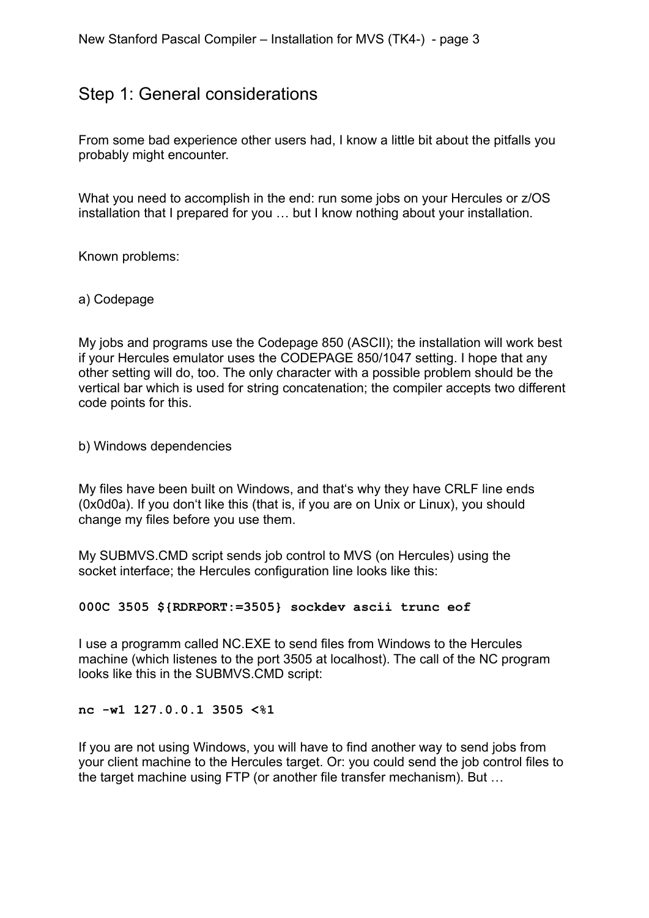### Step 1: General considerations

From some bad experience other users had, I know a little bit about the pitfalls you probably might encounter.

What you need to accomplish in the end: run some jobs on your Hercules or z/OS installation that I prepared for you … but I know nothing about your installation.

Known problems:

a) Codepage

My jobs and programs use the Codepage 850 (ASCII); the installation will work best if your Hercules emulator uses the CODEPAGE 850/1047 setting. I hope that any other setting will do, too. The only character with a possible problem should be the vertical bar which is used for string concatenation; the compiler accepts two different code points for this.

b) Windows dependencies

My files have been built on Windows, and that's why they have CRLF line ends (0x0d0a). If you don't like this (that is, if you are on Unix or Linux), you should change my files before you use them.

My SUBMVS.CMD script sends job control to MVS (on Hercules) using the socket interface; the Hercules configuration line looks like this:

**000C 3505 \${RDRPORT:=3505} sockdev ascii trunc eof**

I use a programm called NC.EXE to send files from Windows to the Hercules machine (which listenes to the port 3505 at localhost). The call of the NC program looks like this in the SUBMVS.CMD script:

**nc -w1 127.0.0.1 3505 <%1**

If you are not using Windows, you will have to find another way to send jobs from your client machine to the Hercules target. Or: you could send the job control files to the target machine using FTP (or another file transfer mechanism). But …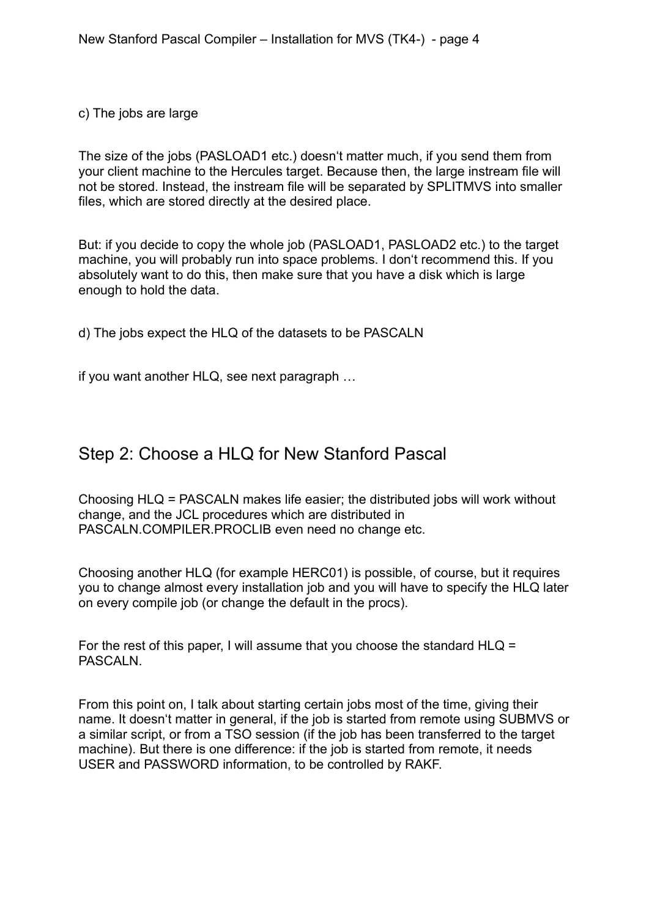c) The jobs are large

The size of the jobs (PASLOAD1 etc.) doesn't matter much, if you send them from your client machine to the Hercules target. Because then, the large instream file will not be stored. Instead, the instream file will be separated by SPLITMVS into smaller files, which are stored directly at the desired place.

But: if you decide to copy the whole job (PASLOAD1, PASLOAD2 etc.) to the target machine, you will probably run into space problems. I don't recommend this. If you absolutely want to do this, then make sure that you have a disk which is large enough to hold the data.

d) The jobs expect the HLQ of the datasets to be PASCALN

if you want another HLQ, see next paragraph …

## Step 2: Choose a HLQ for New Stanford Pascal

Choosing HLQ = PASCALN makes life easier; the distributed jobs will work without change, and the JCL procedures which are distributed in PASCALN.COMPILER.PROCLIB even need no change etc.

Choosing another HLQ (for example HERC01) is possible, of course, but it requires you to change almost every installation job and you will have to specify the HLQ later on every compile job (or change the default in the procs).

For the rest of this paper, I will assume that you choose the standard HLQ = PASCALN.

From this point on, I talk about starting certain jobs most of the time, giving their name. It doesn't matter in general, if the job is started from remote using SUBMVS or a similar script, or from a TSO session (if the job has been transferred to the target machine). But there is one difference: if the job is started from remote, it needs USER and PASSWORD information, to be controlled by RAKF.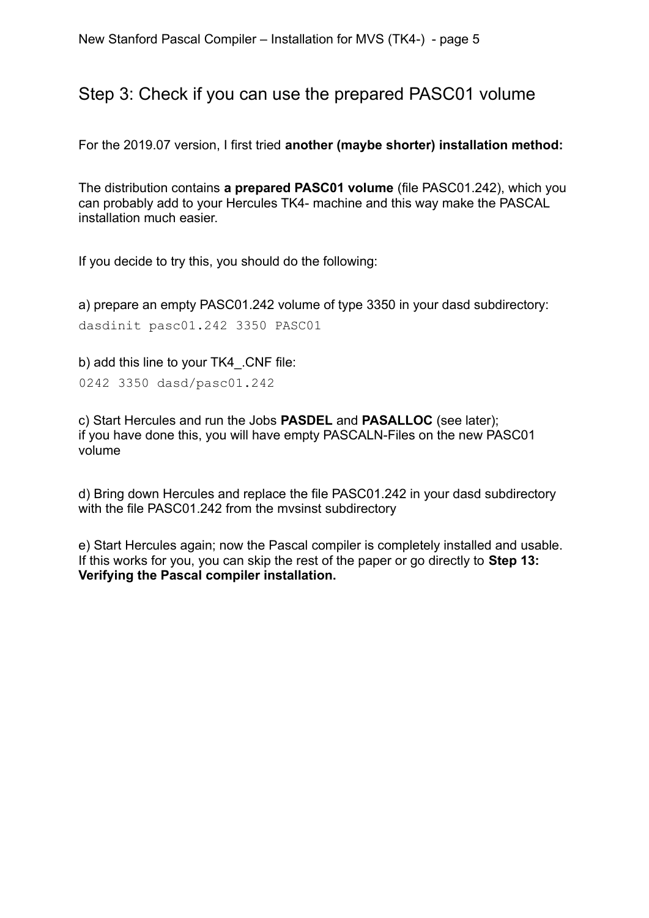### Step 3: Check if you can use the prepared PASC01 volume

For the 2019.07 version, I first tried **another (maybe shorter) installation method:**

The distribution contains **a prepared PASC01 volume** (file PASC01.242), which you can probably add to your Hercules TK4- machine and this way make the PASCAL installation much easier.

If you decide to try this, you should do the following:

a) prepare an empty PASC01.242 volume of type 3350 in your dasd subdirectory: dasdinit pasc01.242 3350 PASC01

b) add this line to your TK4\_.CNF file:

0242 3350 dasd/pasc01.242

c) Start Hercules and run the Jobs **PASDEL** and **PASALLOC** (see later); if you have done this, you will have empty PASCALN-Files on the new PASC01 volume

d) Bring down Hercules and replace the file PASC01.242 in your dasd subdirectory with the file PASC01.242 from the mvsinst subdirectory

e) Start Hercules again; now the Pascal compiler is completely installed and usable. If this works for you, you can skip the rest of the paper or go directly to **Step 13: Verifying the Pascal compiler installation.**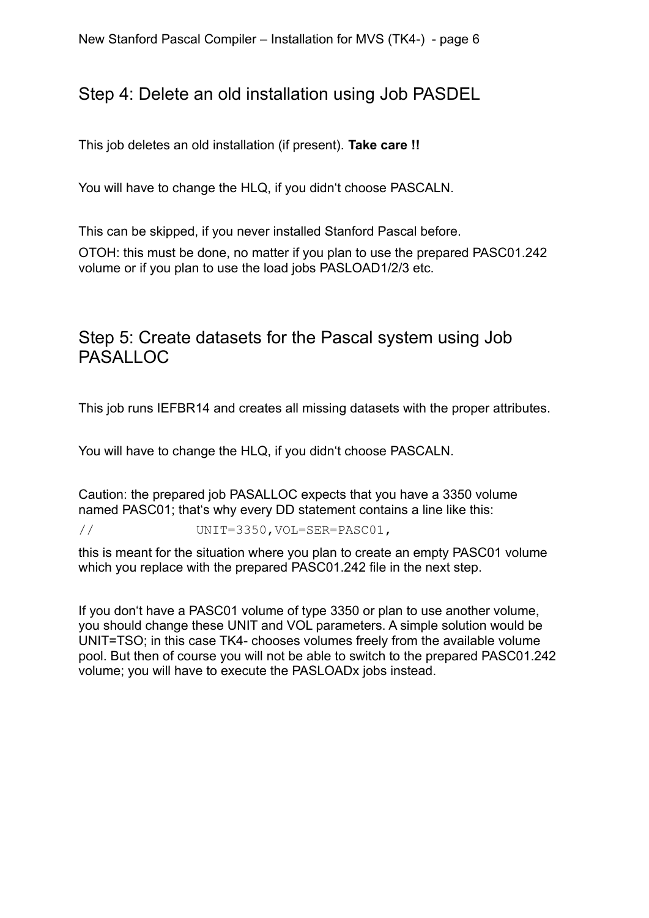## Step 4: Delete an old installation using Job PASDEL

This job deletes an old installation (if present). **Take care !!**

You will have to change the HLQ, if you didn't choose PASCALN.

This can be skipped, if you never installed Stanford Pascal before.

OTOH: this must be done, no matter if you plan to use the prepared PASC01.242 volume or if you plan to use the load jobs PASLOAD1/2/3 etc.

# Step 5: Create datasets for the Pascal system using Job PASALLOC

This job runs IEFBR14 and creates all missing datasets with the proper attributes.

You will have to change the HLQ, if you didn't choose PASCALN.

Caution: the prepared job PASALLOC expects that you have a 3350 volume named PASC01; that's why every DD statement contains a line like this:

// UNIT=3350,VOL=SER=PASC01,

this is meant for the situation where you plan to create an empty PASC01 volume which you replace with the prepared PASC01.242 file in the next step.

If you don't have a PASC01 volume of type 3350 or plan to use another volume, you should change these UNIT and VOL parameters. A simple solution would be UNIT=TSO; in this case TK4- chooses volumes freely from the available volume pool. But then of course you will not be able to switch to the prepared PASC01.242 volume; you will have to execute the PASLOADx jobs instead.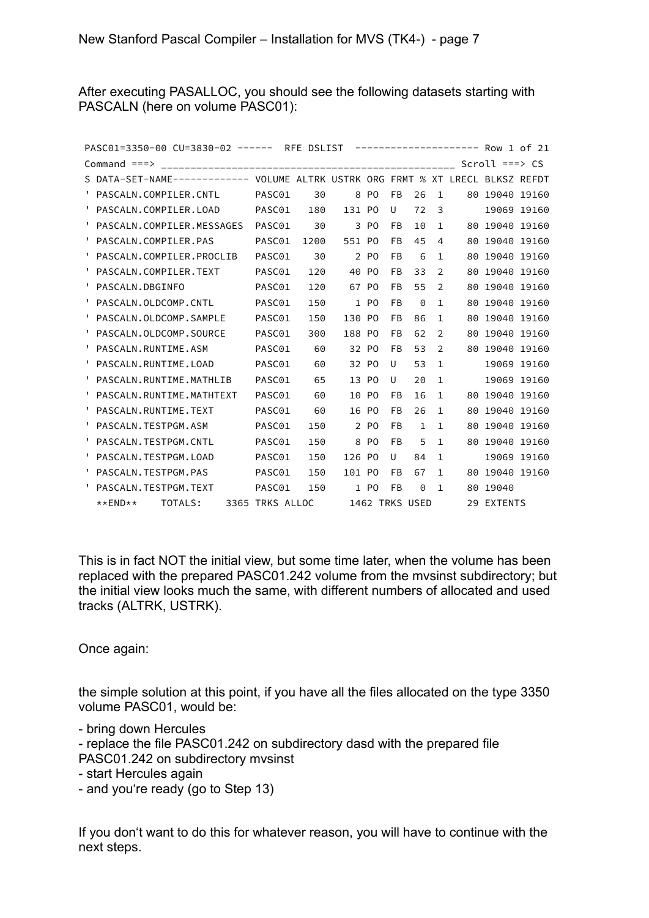After executing PASALLOC, you should see the following datasets starting with PASCALN (here on volume PASC01):

| PASC01=3350-00 CU=3830-02 ------ RFE DSLIST ---------------------              |                 |      |        |                |           |              |               |     | Row 1 of 21      |             |
|--------------------------------------------------------------------------------|-----------------|------|--------|----------------|-----------|--------------|---------------|-----|------------------|-------------|
| Command $==$                                                                   |                 |      |        |                |           |              |               |     | Scroll $==$ > CS |             |
| S DATA-SET-NAME------------ VOLUME ALTRK USTRK ORG FRMT % XT LRECL BLKSZ REFDT |                 |      |        |                |           |              |               |     |                  |             |
| PASCALN.COMPILER.CNTL                                                          | PASC01          | 30   | 8      | P <sub>0</sub> | <b>FB</b> | 26           | $\mathbf{1}$  |     | 80 19040 19160   |             |
| PASCALN.COMPILER.LOAD<br>υ.                                                    | PASC01          | 180  | 131 PO |                | U         | 72           | 3             |     |                  | 19069 19160 |
| PASCALN.COMPILER.MESSAGES                                                      | PASC01          | 30   |        | 3 PO           | FB        | 10           | $\mathbf{1}$  |     | 80 19040 19160   |             |
| PASCALN.COMPILER.PAS                                                           | PASC01          | 1200 | 551 PO |                | FB        | 45           | 4             |     | 80 19040 19160   |             |
| PASCALN.COMPILER.PROCLIB                                                       | PASC01          | 30   |        | 2 PO           | FB        | 6            | $\mathbf{1}$  |     | 80 19040 19160   |             |
| PASCALN.COMPILER.TEXT                                                          | PASC01          | 120  |        | 40 PO          | FB        | 33           | 2             | 80  | 19040 19160      |             |
| PASCALN.DBGINFO                                                                | PASC01          | 120  |        | 67 PO          | FB        | 55           | 2             |     | 80 19040 19160   |             |
| PASCALN.OLDCOMP.CNTL<br>٠.                                                     | PASC01          | 150  |        | 1 PO           | FB        | 0            | $\mathbf{1}$  | 80  | 19040 19160      |             |
| PASCALN.OLDCOMP.SAMPLE                                                         | PASC01          | 150  | 130 PO |                | FB        | 86           | $\mathbf{1}$  | 80  | 19040 19160      |             |
| PASCALN.OLDCOMP.SOURCE<br>ι.                                                   | PASC01          | 300  | 188 PO |                | FB        | 62           | $\mathcal{P}$ | 80. | 19040 19160      |             |
| PASCALN.RUNTIME.ASM                                                            | PASC01          | 60   |        | 32 PO          | FB        | 53           | $\mathcal{P}$ |     | 80 19040 19160   |             |
| PASCALN.RUNTIME.LOAD                                                           | PASC01          | 60   |        | 32 PO          | U         | 53           | $\mathbf{1}$  |     |                  | 19069 19160 |
| PASCALN.RUNTIME.MATHLIB                                                        | PASC01          | 65   |        | 13 PO          | U         | 20           | $\mathbf{1}$  |     |                  | 19069 19160 |
| PASCALN.RUNTIME.MATHTEXT                                                       | PASC01          | 60   |        | 10 PO          | FB        | 16           | $\mathbf{1}$  |     | 80 19040 19160   |             |
| PASCALN.RUNTIME.TEXT                                                           | PASC01          | 60   |        | 16 PO          | FB        | 26           | $\mathbf{1}$  | 80  | 19040 19160      |             |
| PASCALN.TESTPGM.ASM                                                            | PASC01          | 150  |        | 2 PO           | FB        | $\mathbf{1}$ | $\mathbf{1}$  | 80  | 19040 19160      |             |
| PASCALN. TESTPGM. CNTL                                                         | PASC01          | 150  |        | 8 PO           | FB        | 5            | $\mathbf{1}$  |     | 80 19040 19160   |             |
| PASCALN. TESTPGM. LOAD                                                         | PASC01          | 150  | 126 PO |                | U         | 84           | $\mathbf{1}$  |     |                  | 19069 19160 |
| PASCALN. TESTPGM. PAS<br>Τ.                                                    | PASC01          | 150  | 101 PO |                | FB        | 67           | $\mathbf{1}$  |     | 80 19040 19160   |             |
| PASCALN.TESTPGM.TEXT                                                           | PASC01          | 150  |        | 1 PO           | FB        | $\Theta$     | $\mathbf{1}$  |     | 80 19040         |             |
| TOTALS:<br>**END**                                                             | 3365 TRKS ALLOC |      |        | 1462 TRKS USED |           |              |               |     | 29 EXTENTS       |             |

This is in fact NOT the initial view, but some time later, when the volume has been replaced with the prepared PASC01.242 volume from the mvsinst subdirectory; but the initial view looks much the same, with different numbers of allocated and used tracks (ALTRK, USTRK).

Once again:

the simple solution at this point, if you have all the files allocated on the type 3350 volume PASC01, would be:

- bring down Hercules

- replace the file PASC01.242 on subdirectory dasd with the prepared file PASC01.242 on subdirectory mvsinst

- start Hercules again
- and you're ready (go to Step 13)

If you don't want to do this for whatever reason, you will have to continue with the next steps.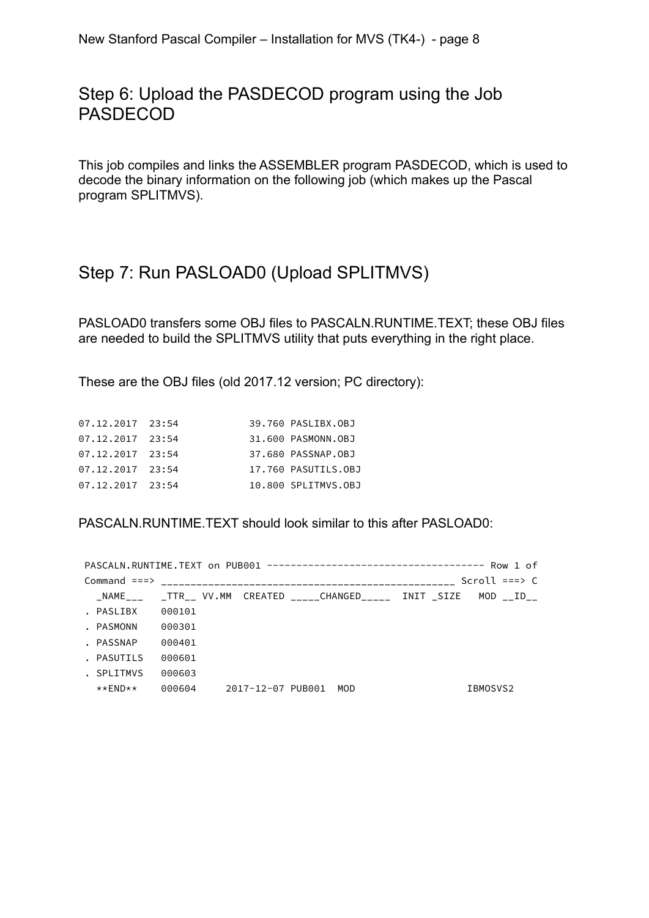### Step 6: Upload the PASDECOD program using the Job PASDECOD

This job compiles and links the ASSEMBLER program PASDECOD, which is used to decode the binary information on the following job (which makes up the Pascal program SPLITMVS).

# Step 7: Run PASLOAD0 (Upload SPLITMVS)

PASLOAD0 transfers some OBJ files to PASCALN.RUNTIME.TEXT; these OBJ files are needed to build the SPLITMVS utility that puts everything in the right place.

These are the OBJ files (old 2017.12 version; PC directory):

| 07.12.2017 23:54   |  | 39.760 PASLIBX.0BJ  |
|--------------------|--|---------------------|
| 07.12.2017 23:54   |  | 31,600 PASMONN.OBJ  |
| 07.12.2017 23:54   |  | 37.680 PASSNAP.OBJ  |
| 07.12.2017 23:54   |  | 17.760 PASUTILS.OBJ |
| $07.12.2017$ 23:54 |  | 10.800 SPLITMVS.OBJ |
|                    |  |                     |

PASCALN.RUNTIME.TEXT should look similar to this after PASLOAD0:

|            |        |                   |                                                                                                   |  | Scroll $==$ > C |  |
|------------|--------|-------------------|---------------------------------------------------------------------------------------------------|--|-----------------|--|
|            |        |                   | NAME           TTR     VV.MM    CREATED            CHANGED            INIT    SIZE     MOD     ID |  |                 |  |
| . PASLIBX  | 000101 |                   |                                                                                                   |  |                 |  |
| . PASMONN  | 000301 |                   |                                                                                                   |  |                 |  |
| . PASSNAP  | 000401 |                   |                                                                                                   |  |                 |  |
| . PASUTILS | 000601 |                   |                                                                                                   |  |                 |  |
| . SPLITMVS | 000603 |                   |                                                                                                   |  |                 |  |
| **FND**    | 000604 | 2017-12-07 PUB001 | MOD                                                                                               |  | IBMOSVS2        |  |
|            |        |                   |                                                                                                   |  |                 |  |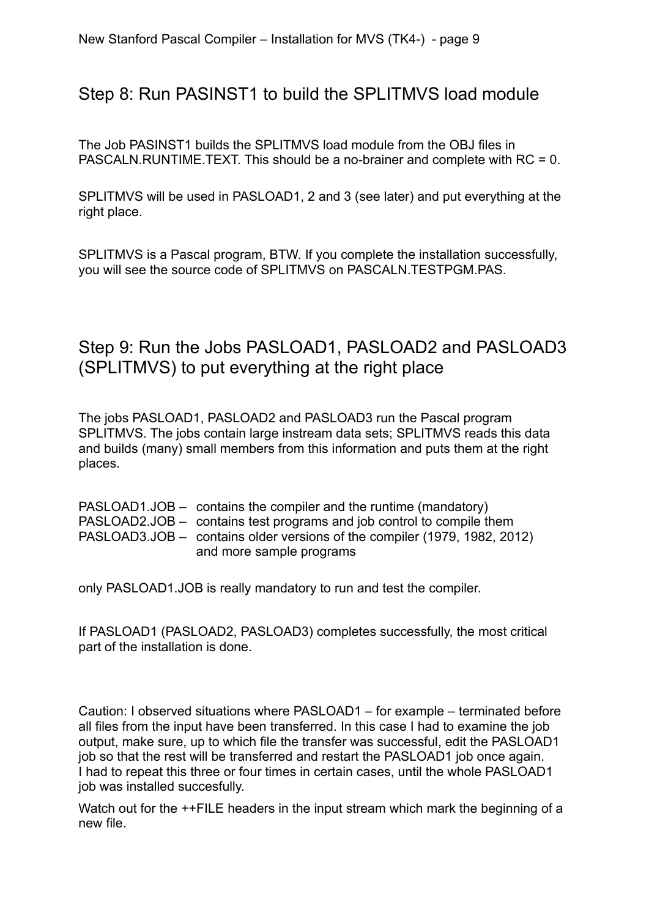### Step 8: Run PASINST1 to build the SPLITMVS load module

The Job PASINST1 builds the SPLITMVS load module from the OBJ files in PASCALN.RUNTIME.TEXT. This should be a no-brainer and complete with RC = 0.

SPLITMVS will be used in PASLOAD1, 2 and 3 (see later) and put everything at the right place.

SPLITMVS is a Pascal program, BTW. If you complete the installation successfully, you will see the source code of SPLITMVS on PASCALN.TESTPGM.PAS.

# Step 9: Run the Jobs PASLOAD1, PASLOAD2 and PASLOAD3 (SPLITMVS) to put everything at the right place

The jobs PASLOAD1, PASLOAD2 and PASLOAD3 run the Pascal program SPLITMVS. The jobs contain large instream data sets; SPLITMVS reads this data and builds (many) small members from this information and puts them at the right places.

| $PASLOAD1.JOB - contains the compiler and the runtime (mandatory)$        |
|---------------------------------------------------------------------------|
| PASLOAD2.JOB – contains test programs and job control to compile them     |
| PASLOAD3.JOB – contains older versions of the compiler (1979, 1982, 2012) |
| and more sample programs                                                  |

only PASLOAD1.JOB is really mandatory to run and test the compiler.

If PASLOAD1 (PASLOAD2, PASLOAD3) completes successfully, the most critical part of the installation is done.

Caution: I observed situations where PASLOAD1 – for example – terminated before all files from the input have been transferred. In this case I had to examine the job output, make sure, up to which file the transfer was successful, edit the PASLOAD1 job so that the rest will be transferred and restart the PASLOAD1 job once again. I had to repeat this three or four times in certain cases, until the whole PASLOAD1 job was installed succesfully.

Watch out for the ++FILE headers in the input stream which mark the beginning of a new file.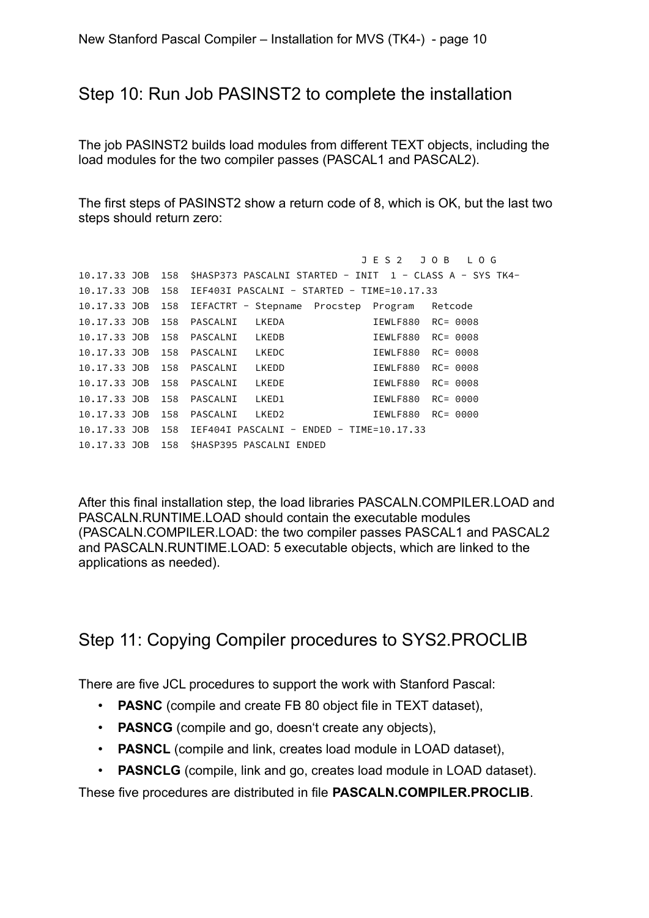#### Step 10: Run Job PASINST2 to complete the installation

The job PASINST2 builds load modules from different TEXT objects, including the load modules for the two compiler passes (PASCAL1 and PASCAL2).

The first steps of PASINST2 show a return code of 8, which is OK, but the last two steps should return zero:

```
 J E S 2 J O B L O G
10.17.33 JOB 158 $HASP373 PASCALNI STARTED - INIT 1 - CLASS A - SYS TK4-
10.17.33 JOB 158 IEF403I PASCALNI - STARTED - TIME=10.17.33
10.17.33 JOB 158 IEFACTRT - Stepname Procstep Program Retcode
10.17.33 JOB 158 PASCALNI LKEDA IEWLF880 RC= 0008
10.17.33 JOB 158 PASCALNI LKEDB IEWLF880 RC= 0008
10.17.33 JOB 158 PASCALNI LKEDC IEWLF880 RC= 0008
10.17.33 JOB 158 PASCALNI LKEDD IEWLF880 RC= 0008<br>10.17.33 JOB 158 PASCALNI LKEDE IEWLF880 RC= 0008<br>10.17.33 JOB 158 PASCALNI LKED1 IEWLF880 RC= 0000<br>10.17.33 JOB 158 PASCALNI LKED2 IEWLF880 PC= 0000
10.17.33 JOB 158 PASCALNI LKEDE
10.17.33 JOB 158 PASCALNI LKED1
10.17.33 JOB 158 PASCALNI LKED2 IEWLF880 RC= 0000
10.17.33 JOB 158 IEF404I PASCALNI - ENDED - TIME=10.17.33
10.17.33 JOB 158 $HASP395 PASCALNI ENDED
```
After this final installation step, the load libraries PASCALN.COMPILER.LOAD and PASCALN.RUNTIME.LOAD should contain the executable modules (PASCALN.COMPILER.LOAD: the two compiler passes PASCAL1 and PASCAL2 and PASCALN.RUNTIME.LOAD: 5 executable objects, which are linked to the applications as needed).

## Step 11: Copying Compiler procedures to SYS2.PROCLIB

There are five JCL procedures to support the work with Stanford Pascal:

- **PASNC** (compile and create FB 80 object file in TEXT dataset),
- **PASNCG** (compile and go, doesn't create any objects),
- **PASNCL** (compile and link, creates load module in LOAD dataset),
- **PASNCLG** (compile, link and go, creates load module in LOAD dataset).

These five procedures are distributed in file **PASCALN.COMPILER.PROCLIB**.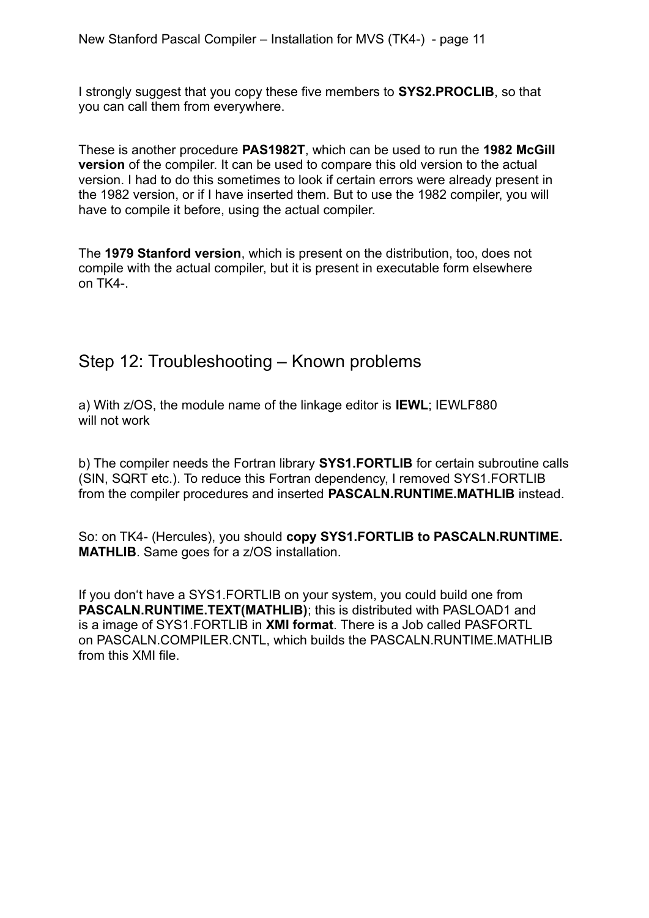I strongly suggest that you copy these five members to **SYS2.PROCLIB**, so that you can call them from everywhere.

These is another procedure **PAS1982T**, which can be used to run the **1982 McGill version** of the compiler. It can be used to compare this old version to the actual version. I had to do this sometimes to look if certain errors were already present in the 1982 version, or if I have inserted them. But to use the 1982 compiler, you will have to compile it before, using the actual compiler.

The **1979 Stanford version**, which is present on the distribution, too, does not compile with the actual compiler, but it is present in executable form elsewhere on TK4-.

### Step 12: Troubleshooting – Known problems

a) With z/OS, the module name of the linkage editor is **IEWL**; IEWLF880 will not work

b) The compiler needs the Fortran library **SYS1.FORTLIB** for certain subroutine calls (SIN, SQRT etc.). To reduce this Fortran dependency, I removed SYS1.FORTLIB from the compiler procedures and inserted **PASCALN.RUNTIME.MATHLIB** instead.

So: on TK4- (Hercules), you should **copy SYS1.FORTLIB to PASCALN.RUNTIME. MATHLIB**. Same goes for a z/OS installation.

If you don't have a SYS1.FORTLIB on your system, you could build one from **PASCALN.RUNTIME.TEXT(MATHLIB)**; this is distributed with PASLOAD1 and is a image of SYS1.FORTLIB in **XMI format**. There is a Job called PASFORTL on PASCALN.COMPILER.CNTL, which builds the PASCALN.RUNTIME.MATHLIB from this XMI file.